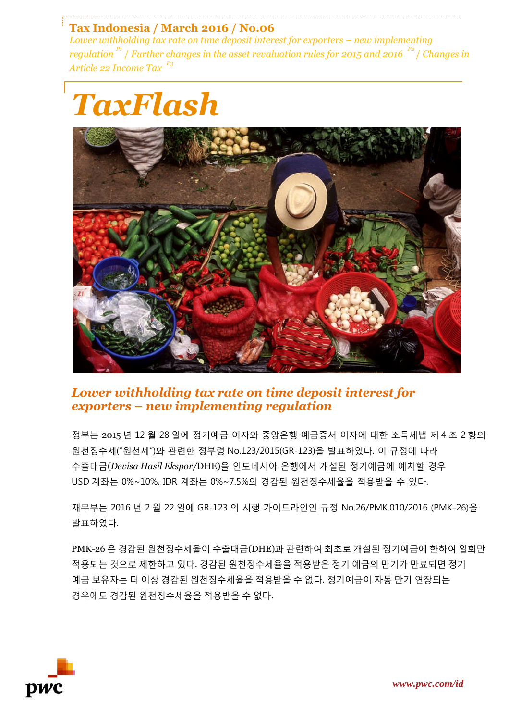## **Tax Indonesia / March 2016 / No.06**

*Lower withholding tax rate on time deposit interest for exporters – new implementing regulation P1* / *Further changes in the asset revaluation rules for 2015 and 2016 P2* / *Changes in Article 22 Income Tax P3*





# *Lower withholding tax rate on time deposit interest for exporters – new implementing regulation*

정부는 2015 년 12 월 28 일에 정기예금 이자와 중앙은행 예금증서 이자에 대한 소득세법 제 4 조 2 항의 원천징수세("원천세")와 관련한 정부령 No.123/2015(GR-123)을 발표하였다. 이 규정에 따라 수출대금(*Devisa Hasil Ekspor/*DHE)을 인도네시아 은행에서 개설된 정기예금에 예치할 경우 USD 계좌는 0%~10%, IDR 계좌는 0%~7.5%의 경감된 원천징수세율을 적용받을 수 있다.

재무부는 2016 년 2 월 22 일에 GR-123 의 시행 가이드라인인 규정 No.26/PMK.010/2016 (PMK-26)을 발표하였다.

PMK-26 은 경감된 원천징수세율이 수출대금(DHE)과 관련하여 최초로 개설된 정기예금에 한하여 일회만 적용되는 것으로 제한하고 있다. 경감된 원천징수세율을 적용받은 정기 예금의 만기가 만료되면 정기 예금 보유자는 더 이상 경감된 원천징수세율을 적용받을 수 없다. 정기예금이 자동 만기 연장되는 경우에도 경감된 원천징수세율을 적용받을 수 없다.

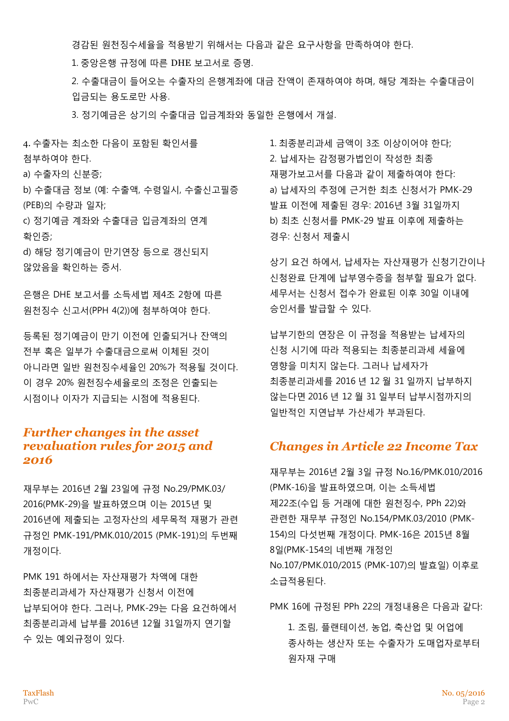경감된 원천징수세율을 적용받기 위해서는 다음과 같은 요구사항을 만족하여야 한다.

1. 중앙은행 규정에 따른 DHE 보고서로 증명.

2. 수출대금이 들어오는 수출자의 은행계좌에 대금 잔액이 존재하여야 하며, 해당 계좌는 수출대금이 입금되는 용도로만 사용.

3. 정기예금은 상기의 수출대금 입금계좌와 동일한 은행에서 개설.

4. 수출자는 최소한 다음이 포함된 확인서를 첨부하여야 한다.

a) 수출자의 신분증;

b) 수출대금 정보 (예: 수출액, 수령일시, 수출신고필증 (PEB)의 수량과 일자;

c) 정기예금 계좌와 수출대금 입금계좌의 연계 확인증;

d) 해당 정기예금이 만기연장 등으로 갱신되지 않았음을 확인하는 증서.

은행은 DHE 보고서를 소득세법 제4조 2항에 따른 원천징수 신고서(PPH 4(2))에 첨부하여야 한다.

등록된 정기예금이 만기 이전에 인출되거나 잔액의 전부 혹은 일부가 수출대금으로써 이체된 것이 아니라면 일반 원천징수세율인 20%가 적용될 것이다. 이 경우 20% 원천징수세율로의 조정은 인출되는 시점이나 이자가 지급되는 시점에 적용된다.

## *Further changes in the asset revaluation rules for 2015 and 2016*

재무부는 2016년 2월 23일에 규정 No.29/PMK.03/ 2016(PMK-29)을 발표하였으며 이는 2015년 및 2016년에 제출되는 고정자산의 세무목적 재평가 관련 규정인 PMK-191/PMK.010/2015 (PMK-191)의 두번째 개정이다.

PMK 191 하에서는 자산재평가 차액에 대한 최종분리과세가 자산재평가 신청서 이전에 납부되어야 한다. 그러나, PMK-29는 다음 요건하에서 최종분리과세 납부를 2016년 12월 31일까지 연기할 수 있는 예외규정이 있다.

1. 최종분리과세 금액이 3조 이상이어야 한다; 2. 납세자는 감정평가법인이 작성한 최종 재평가보고서를 다음과 같이 제출하여야 한다: a) 납세자의 추정에 근거한 최초 신청서가 PMK-29 발표 이전에 제출된 경우: 2016년 3월 31일까지 b) 최초 신청서를 PMK-29 발표 이후에 제출하는 경우: 신청서 제출시

상기 요건 하에서, 납세자는 자산재평가 신청기간이나 신청완료 단계에 납부영수증을 첨부할 필요가 없다. 세무서는 신청서 접수가 완료된 이후 30일 이내에 승인서를 발급할 수 있다.

납부기한의 연장은 이 규정을 적용받는 납세자의 신청 시기에 따라 적용되는 최종분리과세 세율에 영향을 미치지 않는다. 그러나 납세자가 최종분리과세를 2016 년 12 월 31 일까지 납부하지 않는다면 2016 년 12 월 31 일부터 납부시점까지의 일반적인 지연납부 가산세가 부과된다.

## *Changes in Article 22 Income Tax*

재무부는 2016년 2월 3일 규정 No.16/PMK.010/2016 (PMK-16)을 발표하였으며, 이는 소득세법 제22조(수입 등 거래에 대한 원천징수, PPh 22)와 관련한 재무부 규정인 No.154/PMK.03/2010 (PMK-154)의 다섯번째 개정이다. PMK-16은 2015년 8월 8일(PMK-154의 네번째 개정인 No.107/PMK.010/2015 (PMK-107)의 발효일) 이후로 소급적용된다.

PMK 16에 규정된 PPh 22의 개정내용은 다음과 같다:

1. 조림, 플랜테이션, 농업, 축산업 및 어업에 종사하는 생산자 또는 수출자가 도매업자로부터 원자재 구매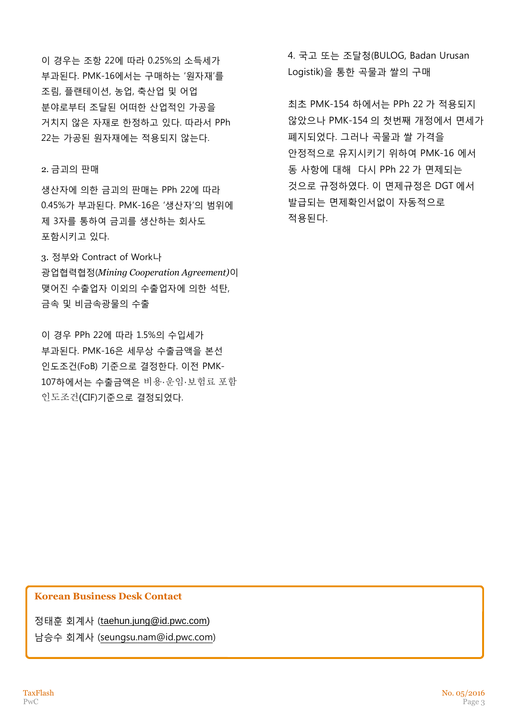이 경우는 조항 22에 따라 0.25%의 소득세가 부과된다. PMK-16에서는 구매하는 '원자재'를 조림, 플랜테이션, 농업, 축산업 및 어업 분야로부터 조달된 어떠한 산업적인 가공을 거치지 않은 자재로 한정하고 있다. 따라서 PPh 22는 가공된 원자재에는 적용되지 않는다.

#### 2. 금괴의 판매

생산자에 의한 금괴의 판매는 PPh 22에 따라 0.45%가 부과된다. PMK-16은 '생산자'의 범위에 제 3자를 통하여 금괴를 생산하는 회사도 포함시키고 있다.

3. 정부와 Contract of Work나 광업협력협정(*Mining Cooperation Agreement)*이 맺어진 수출업자 이외의 수출업자에 의한 석탄, 금속 및 비금속광물의 수출

이 경우 PPh 22에 따라 1.5%의 수입세가 부과된다. PMK-16은 세무상 수출금액을 본선 인도조건(FoB) 기준으로 결정한다. 이전 PMK-107하에서는 수출금액은 비용·운임·보험료 포함 인도조건(CIF)기준으로 결정되었다.

4. 국고 또는 조달청(BULOG, Badan Urusan Logistik)을 통한 곡물과 쌀의 구매

최초 PMK-154 하에서는 PPh 22 가 적용되지 않았으나 PMK-154 의 첫번째 개정에서 면세가 폐지되었다. 그러나 곡물과 쌀 가격을 안정적으로 유지시키기 위하여 PMK-16 에서 동 사항에 대해 다시 PPh 22 가 면제되는 것으로 규정하였다. 이 면제규정은 DGT 에서 발급되는 면제확인서없이 자동적으로 적용된다.

#### **Korean Business Desk Contact**

정태훈 회계사 (t[aehun.jung@id.pwc.com\)](mailto:taehun.jung@id.pwc.com)

남승수 회계사 (seungsu.nam@id.pwc.com)